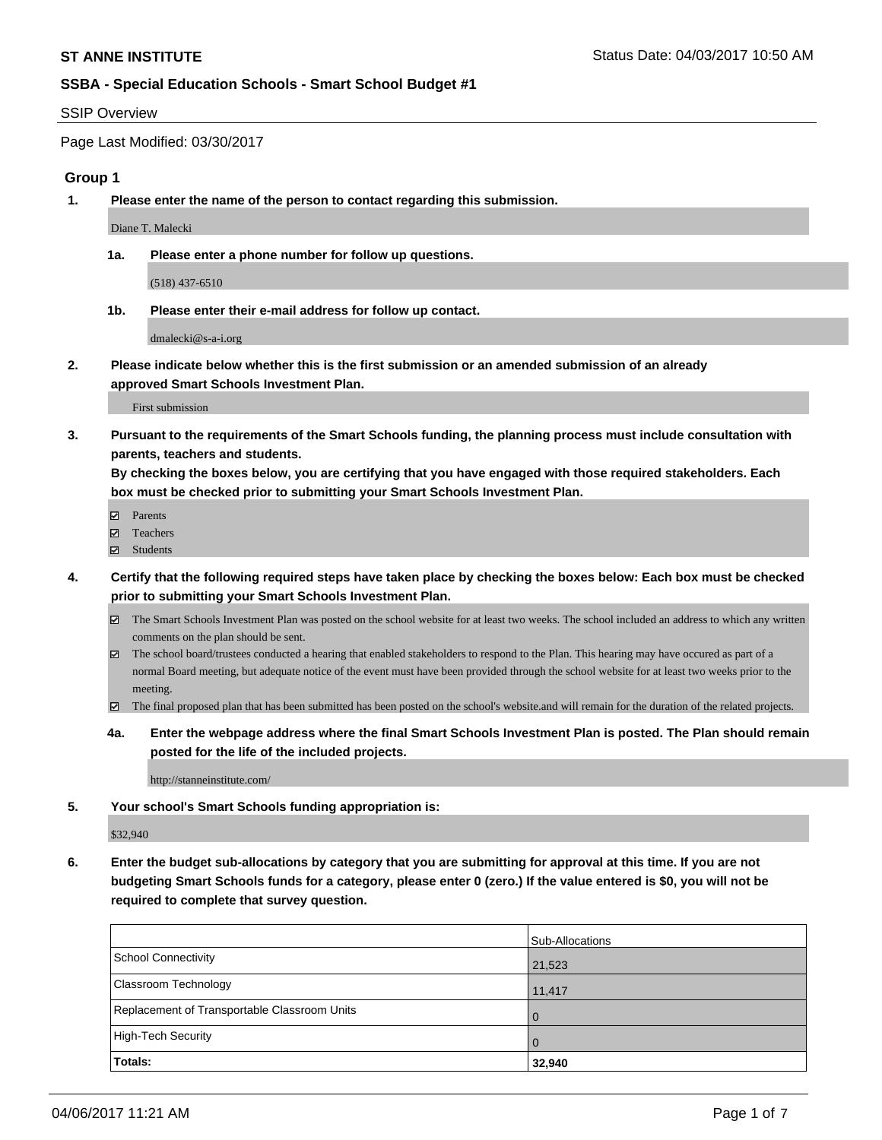#### SSIP Overview

Page Last Modified: 03/30/2017

#### **Group 1**

**1. Please enter the name of the person to contact regarding this submission.**

Diane T. Malecki

**1a. Please enter a phone number for follow up questions.**

(518) 437-6510

**1b. Please enter their e-mail address for follow up contact.**

dmalecki@s-a-i.org

**2. Please indicate below whether this is the first submission or an amended submission of an already approved Smart Schools Investment Plan.**

First submission

**3. Pursuant to the requirements of the Smart Schools funding, the planning process must include consultation with parents, teachers and students.**

**By checking the boxes below, you are certifying that you have engaged with those required stakeholders. Each box must be checked prior to submitting your Smart Schools Investment Plan.**

- **Ø** Parents
- Teachers
- Students
- **4. Certify that the following required steps have taken place by checking the boxes below: Each box must be checked prior to submitting your Smart Schools Investment Plan.**
	- The Smart Schools Investment Plan was posted on the school website for at least two weeks. The school included an address to which any written comments on the plan should be sent.
	- The school board/trustees conducted a hearing that enabled stakeholders to respond to the Plan. This hearing may have occured as part of a normal Board meeting, but adequate notice of the event must have been provided through the school website for at least two weeks prior to the meeting.
	- The final proposed plan that has been submitted has been posted on the school's website.and will remain for the duration of the related projects.
	- **4a. Enter the webpage address where the final Smart Schools Investment Plan is posted. The Plan should remain posted for the life of the included projects.**

http://stanneinstitute.com/

**5. Your school's Smart Schools funding appropriation is:**

\$32,940

**6. Enter the budget sub-allocations by category that you are submitting for approval at this time. If you are not budgeting Smart Schools funds for a category, please enter 0 (zero.) If the value entered is \$0, you will not be required to complete that survey question.**

|                                              | Sub-Allocations |
|----------------------------------------------|-----------------|
| School Connectivity                          | 21,523          |
| <b>Classroom Technology</b>                  | 11,417          |
| Replacement of Transportable Classroom Units | $\Omega$        |
| High-Tech Security                           | $\Omega$        |
| Totals:                                      | 32,940          |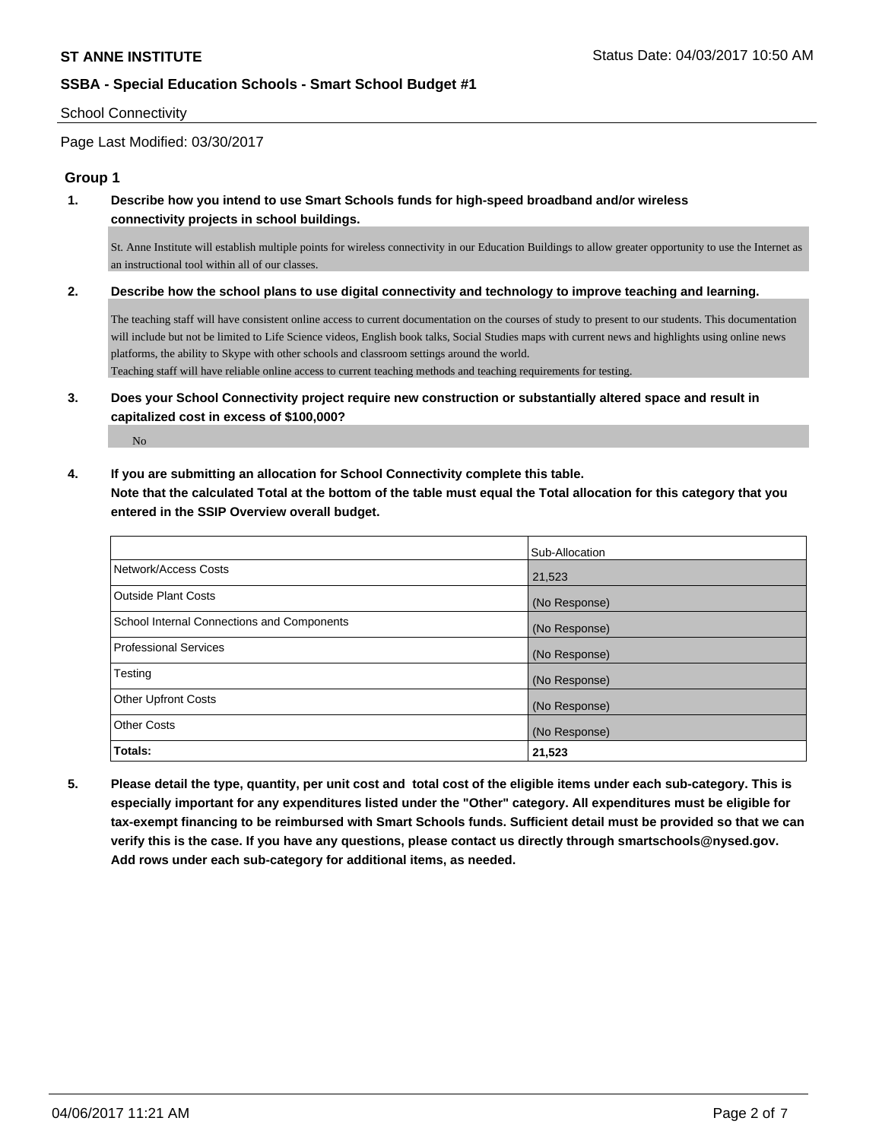#### School Connectivity

Page Last Modified: 03/30/2017

#### **Group 1**

**1. Describe how you intend to use Smart Schools funds for high-speed broadband and/or wireless connectivity projects in school buildings.**

St. Anne Institute will establish multiple points for wireless connectivity in our Education Buildings to allow greater opportunity to use the Internet as an instructional tool within all of our classes.

**2. Describe how the school plans to use digital connectivity and technology to improve teaching and learning.**

The teaching staff will have consistent online access to current documentation on the courses of study to present to our students. This documentation will include but not be limited to Life Science videos, English book talks, Social Studies maps with current news and highlights using online news platforms, the ability to Skype with other schools and classroom settings around the world.

Teaching staff will have reliable online access to current teaching methods and teaching requirements for testing.

**3. Does your School Connectivity project require new construction or substantially altered space and result in capitalized cost in excess of \$100,000?**

No

**4. If you are submitting an allocation for School Connectivity complete this table.**

**Note that the calculated Total at the bottom of the table must equal the Total allocation for this category that you entered in the SSIP Overview overall budget.** 

|                                            | Sub-Allocation |
|--------------------------------------------|----------------|
| Network/Access Costs                       | 21,523         |
| <b>Outside Plant Costs</b>                 | (No Response)  |
| School Internal Connections and Components | (No Response)  |
| <b>Professional Services</b>               | (No Response)  |
| Testing                                    | (No Response)  |
| <b>Other Upfront Costs</b>                 | (No Response)  |
| <b>Other Costs</b>                         | (No Response)  |
| Totals:                                    | 21,523         |

**5. Please detail the type, quantity, per unit cost and total cost of the eligible items under each sub-category. This is especially important for any expenditures listed under the "Other" category. All expenditures must be eligible for tax-exempt financing to be reimbursed with Smart Schools funds. Sufficient detail must be provided so that we can verify this is the case. If you have any questions, please contact us directly through smartschools@nysed.gov. Add rows under each sub-category for additional items, as needed.**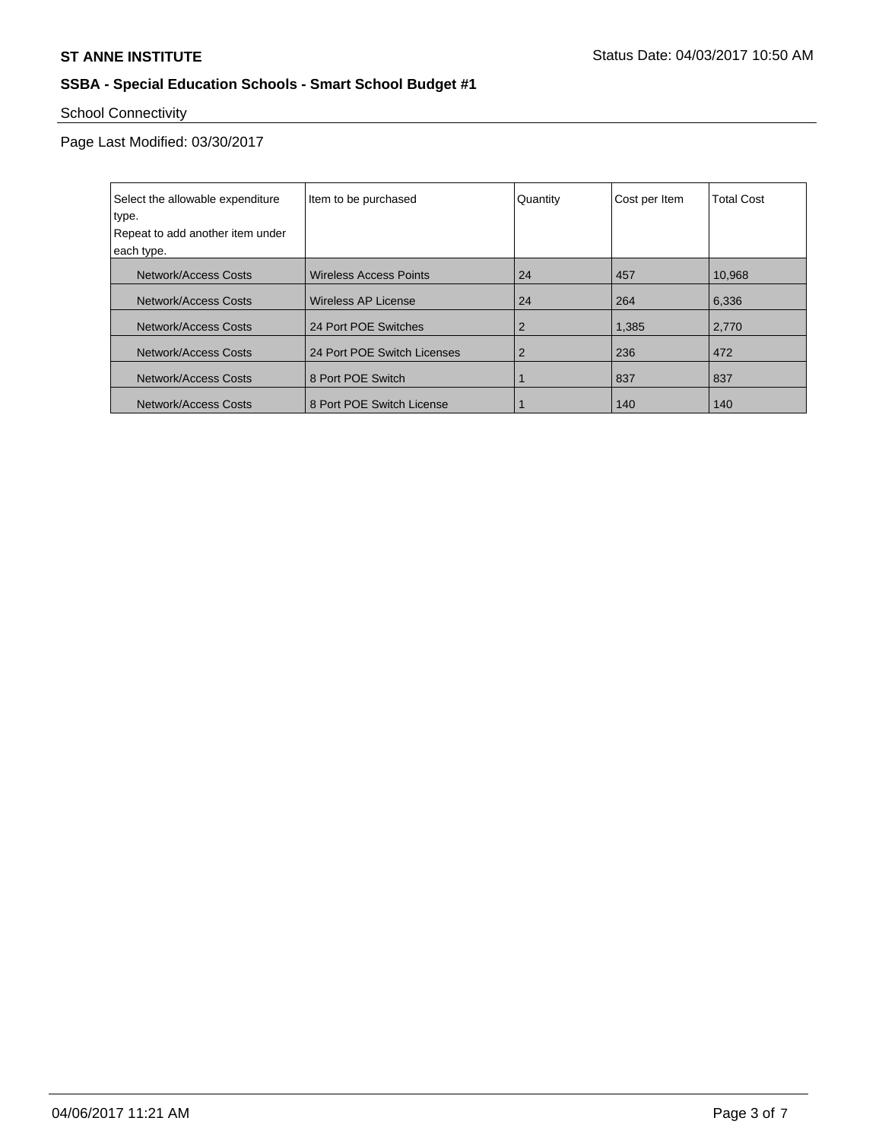# School Connectivity

Page Last Modified: 03/30/2017

| Select the allowable expenditure | Item to be purchased          | Quantity | Cost per Item | <b>Total Cost</b> |
|----------------------------------|-------------------------------|----------|---------------|-------------------|
| type.                            |                               |          |               |                   |
| Repeat to add another item under |                               |          |               |                   |
| each type.                       |                               |          |               |                   |
| Network/Access Costs             | <b>Wireless Access Points</b> | 24       | 457           | 10,968            |
| <b>Network/Access Costs</b>      | <b>Wireless AP License</b>    | 24       | 264           | 6,336             |
| Network/Access Costs             | 24 Port POE Switches          | 2        | 1,385         | 2,770             |
| Network/Access Costs             | 24 Port POE Switch Licenses   | 2        | 236           | 472               |
| Network/Access Costs             | 8 Port POE Switch             |          | 837           | 837               |
| Network/Access Costs             | 8 Port POE Switch License     |          | 140           | 140               |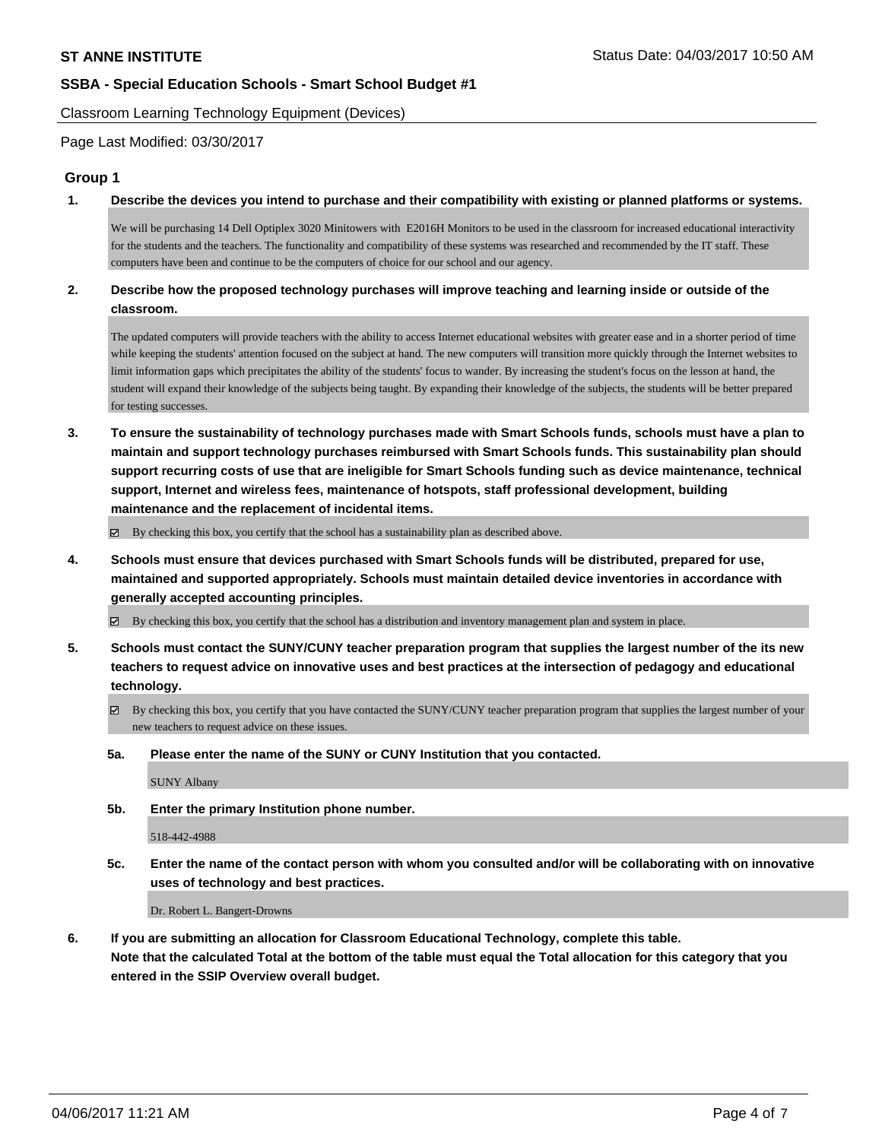Classroom Learning Technology Equipment (Devices)

Page Last Modified: 03/30/2017

## **Group 1**

**1. Describe the devices you intend to purchase and their compatibility with existing or planned platforms or systems.**

We will be purchasing 14 Dell Optiplex 3020 Minitowers with E2016H Monitors to be used in the classroom for increased educational interactivity for the students and the teachers. The functionality and compatibility of these systems was researched and recommended by the IT staff. These computers have been and continue to be the computers of choice for our school and our agency.

## **2. Describe how the proposed technology purchases will improve teaching and learning inside or outside of the classroom.**

The updated computers will provide teachers with the ability to access Internet educational websites with greater ease and in a shorter period of time while keeping the students' attention focused on the subject at hand. The new computers will transition more quickly through the Internet websites to limit information gaps which precipitates the ability of the students' focus to wander. By increasing the student's focus on the lesson at hand, the student will expand their knowledge of the subjects being taught. By expanding their knowledge of the subjects, the students will be better prepared for testing successes.

**3. To ensure the sustainability of technology purchases made with Smart Schools funds, schools must have a plan to maintain and support technology purchases reimbursed with Smart Schools funds. This sustainability plan should support recurring costs of use that are ineligible for Smart Schools funding such as device maintenance, technical support, Internet and wireless fees, maintenance of hotspots, staff professional development, building maintenance and the replacement of incidental items.**

 $\boxtimes$  By checking this box, you certify that the school has a sustainability plan as described above.

**4. Schools must ensure that devices purchased with Smart Schools funds will be distributed, prepared for use, maintained and supported appropriately. Schools must maintain detailed device inventories in accordance with generally accepted accounting principles.**

By checking this box, you certify that the school has a distribution and inventory management plan and system in place.

- **5. Schools must contact the SUNY/CUNY teacher preparation program that supplies the largest number of the its new teachers to request advice on innovative uses and best practices at the intersection of pedagogy and educational technology.**
	- By checking this box, you certify that you have contacted the SUNY/CUNY teacher preparation program that supplies the largest number of your new teachers to request advice on these issues.
	- **5a. Please enter the name of the SUNY or CUNY Institution that you contacted.**

SUNY Albany

**5b. Enter the primary Institution phone number.**

518-442-4988

**5c. Enter the name of the contact person with whom you consulted and/or will be collaborating with on innovative uses of technology and best practices.**

Dr. Robert L. Bangert-Drowns

**6. If you are submitting an allocation for Classroom Educational Technology, complete this table. Note that the calculated Total at the bottom of the table must equal the Total allocation for this category that you entered in the SSIP Overview overall budget.**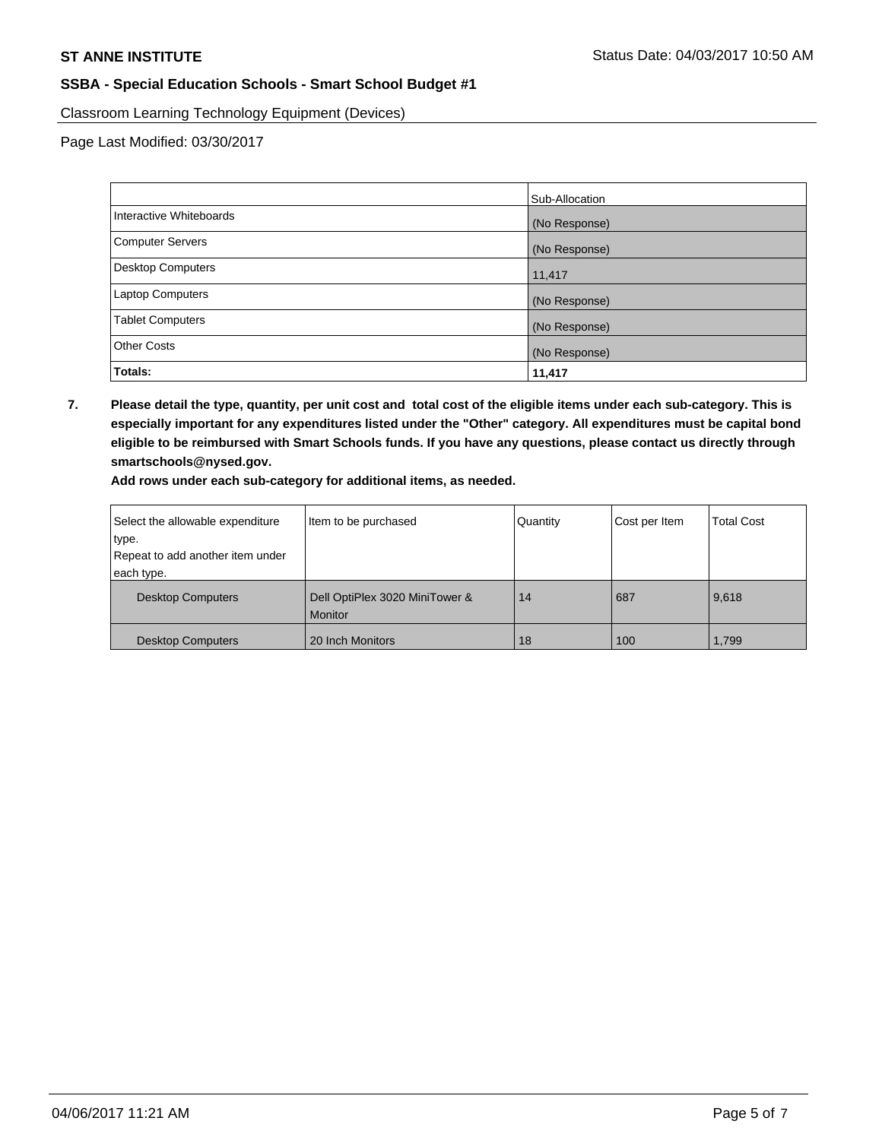Classroom Learning Technology Equipment (Devices)

Page Last Modified: 03/30/2017

|                          | Sub-Allocation |
|--------------------------|----------------|
| Interactive Whiteboards  | (No Response)  |
| Computer Servers         | (No Response)  |
| <b>Desktop Computers</b> | 11,417         |
| <b>Laptop Computers</b>  | (No Response)  |
| <b>Tablet Computers</b>  | (No Response)  |
| <b>Other Costs</b>       | (No Response)  |
| Totals:                  | 11,417         |

**7. Please detail the type, quantity, per unit cost and total cost of the eligible items under each sub-category. This is especially important for any expenditures listed under the "Other" category. All expenditures must be capital bond eligible to be reimbursed with Smart Schools funds. If you have any questions, please contact us directly through smartschools@nysed.gov.**

**Add rows under each sub-category for additional items, as needed.**

| Select the allowable expenditure | Item to be purchased                      | Quantity | Cost per Item | <b>Total Cost</b> |
|----------------------------------|-------------------------------------------|----------|---------------|-------------------|
| type.                            |                                           |          |               |                   |
| Repeat to add another item under |                                           |          |               |                   |
| each type.                       |                                           |          |               |                   |
| <b>Desktop Computers</b>         | Dell OptiPlex 3020 MiniTower &<br>Monitor | 14       | 687           | 9,618             |
| <b>Desktop Computers</b>         | 20 Inch Monitors                          | 18       | 100           | 1,799             |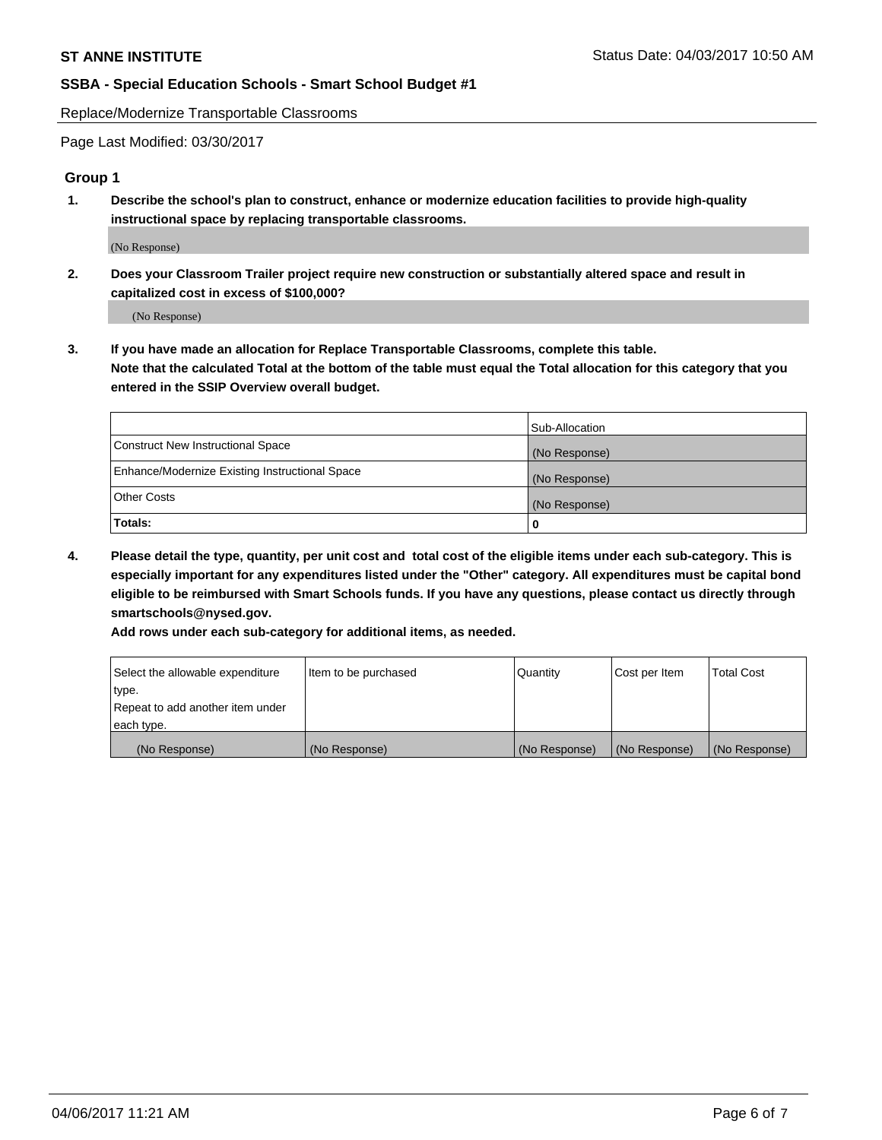Replace/Modernize Transportable Classrooms

Page Last Modified: 03/30/2017

#### **Group 1**

**1. Describe the school's plan to construct, enhance or modernize education facilities to provide high-quality instructional space by replacing transportable classrooms.**

(No Response)

**2. Does your Classroom Trailer project require new construction or substantially altered space and result in capitalized cost in excess of \$100,000?**

(No Response)

**3. If you have made an allocation for Replace Transportable Classrooms, complete this table. Note that the calculated Total at the bottom of the table must equal the Total allocation for this category that you entered in the SSIP Overview overall budget.**

|                                                | Sub-Allocation |
|------------------------------------------------|----------------|
| Construct New Instructional Space              | (No Response)  |
| Enhance/Modernize Existing Instructional Space | (No Response)  |
| <b>Other Costs</b>                             | (No Response)  |
| Totals:                                        |                |

**4. Please detail the type, quantity, per unit cost and total cost of the eligible items under each sub-category. This is especially important for any expenditures listed under the "Other" category. All expenditures must be capital bond eligible to be reimbursed with Smart Schools funds. If you have any questions, please contact us directly through smartschools@nysed.gov.**

**Add rows under each sub-category for additional items, as needed.**

| Select the allowable expenditure | Item to be purchased | Quantity      | Cost per Item | <b>Total Cost</b> |
|----------------------------------|----------------------|---------------|---------------|-------------------|
| type.                            |                      |               |               |                   |
| Repeat to add another item under |                      |               |               |                   |
| each type.                       |                      |               |               |                   |
| (No Response)                    | (No Response)        | (No Response) | (No Response) | (No Response)     |